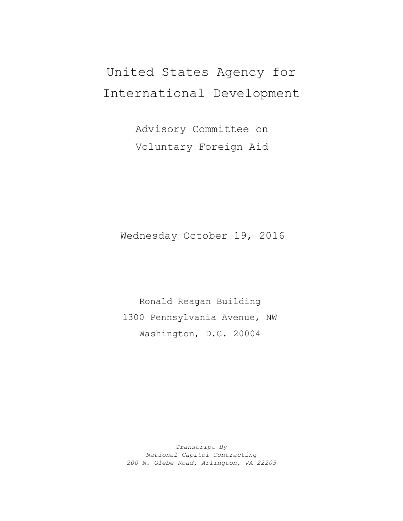# United States Agency for International Development

Advisory Committee on Voluntary Foreign Aid

Wednesday October 19, 2016

Ronald Reagan Building 1300 Pennsylvania Avenue, NW Washington, D.C. 20004

*Transcript By National Capitol Contracting 200 N. Glebe Road, Arlington, VA 22203*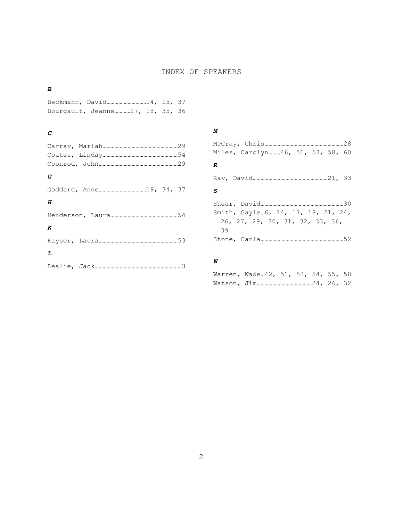### INDEX OF SPEAKERS

#### *B*

Beckmann, David…………………………14, 15, 37 Bourgault, Jeanne…………17, 18, 35, 36

## *C*

| G |
|---|
|   |
| Н |
|   |
| K |
|   |
| L |
|   |

#### *M*

| Miles, Carolyn……….46, 51, 53, 58, 60 |  |
|--------------------------------------|--|
| R                                    |  |
|                                      |  |
| S                                    |  |
|                                      |  |
| Smith, Gayle…6, 14, 17, 18, 21, 24,  |  |
| 26, 27, 29, 30, 31, 32, 33, 36,      |  |
| 39                                   |  |
|                                      |  |

## *W*

Warren, Wade…42, 51, 53, 54, 55, 58 Watson, Jim……………………………………24, 26, 32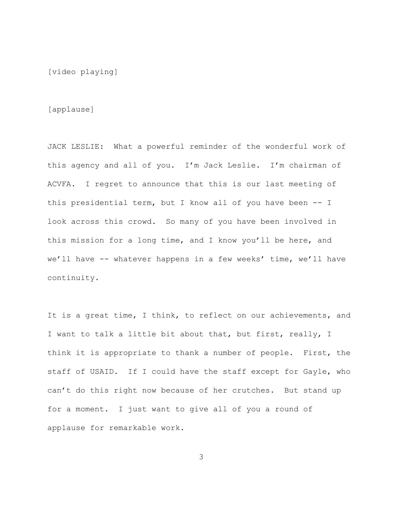[video playing]

[applause]

JACK LESLIE: What a powerful reminder of the wonderful work of this agency and all of you. I'm Jack Leslie. I'm chairman of ACVFA. I regret to announce that this is our last meeting of this presidential term, but I know all of you have been -- I look across this crowd. So many of you have been involved in this mission for a long time, and I know you'll be here, and we'll have -- whatever happens in a few weeks' time, we'll have continuity.

It is a great time, I think, to reflect on our achievements, and I want to talk a little bit about that, but first, really, I think it is appropriate to thank a number of people. First, the staff of USAID. If I could have the staff except for Gayle, who can't do this right now because of her crutches. But stand up for a moment. I just want to give all of you a round of applause for remarkable work.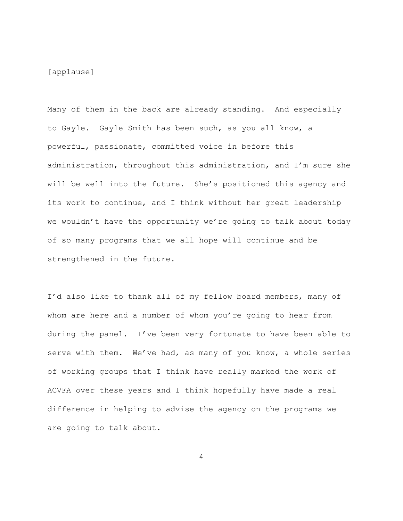[applause]

Many of them in the back are already standing. And especially to Gayle. Gayle Smith has been such, as you all know, a powerful, passionate, committed voice in before this administration, throughout this administration, and I'm sure she will be well into the future. She's positioned this agency and its work to continue, and I think without her great leadership we wouldn't have the opportunity we're going to talk about today of so many programs that we all hope will continue and be strengthened in the future.

I'd also like to thank all of my fellow board members, many of whom are here and a number of whom you're going to hear from during the panel. I've been very fortunate to have been able to serve with them. We've had, as many of you know, a whole series of working groups that I think have really marked the work of ACVFA over these years and I think hopefully have made a real difference in helping to advise the agency on the programs we are going to talk about.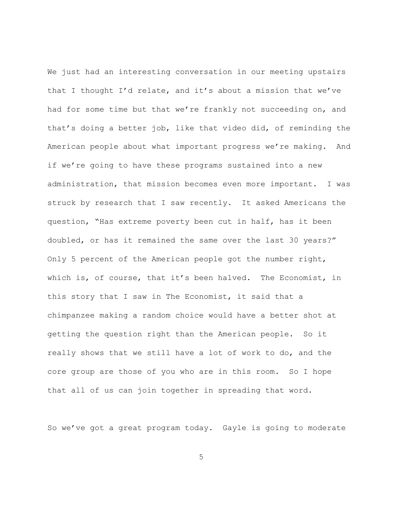We just had an interesting conversation in our meeting upstairs that I thought I'd relate, and it's about a mission that we've had for some time but that we're frankly not succeeding on, and that's doing a better job, like that video did, of reminding the American people about what important progress we're making. And if we're going to have these programs sustained into a new administration, that mission becomes even more important. I was struck by research that I saw recently. It asked Americans the question, "Has extreme poverty been cut in half, has it been doubled, or has it remained the same over the last 30 years?" Only 5 percent of the American people got the number right, which is, of course, that it's been halved. The Economist, in this story that I saw in The Economist, it said that a chimpanzee making a random choice would have a better shot at getting the question right than the American people. So it really shows that we still have a lot of work to do, and the core group are those of you who are in this room. So I hope that all of us can join together in spreading that word.

So we've got a great program today. Gayle is going to moderate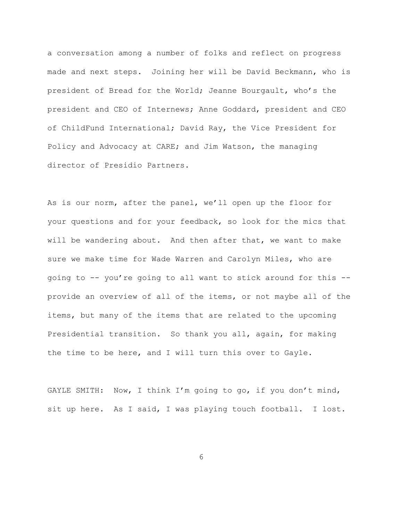a conversation among a number of folks and reflect on progress made and next steps. Joining her will be David Beckmann, who is president of Bread for the World; Jeanne Bourgault, who's the president and CEO of Internews; Anne Goddard, president and CEO of ChildFund International; David Ray, the Vice President for Policy and Advocacy at CARE; and Jim Watson, the managing director of Presidio Partners.

As is our norm, after the panel, we'll open up the floor for your questions and for your feedback, so look for the mics that will be wandering about. And then after that, we want to make sure we make time for Wade Warren and Carolyn Miles, who are going to -- you're going to all want to stick around for this - provide an overview of all of the items, or not maybe all of the items, but many of the items that are related to the upcoming Presidential transition. So thank you all, again, for making the time to be here, and I will turn this over to Gayle.

GAYLE SMITH: Now, I think I'm going to go, if you don't mind, sit up here. As I said, I was playing touch football. I lost.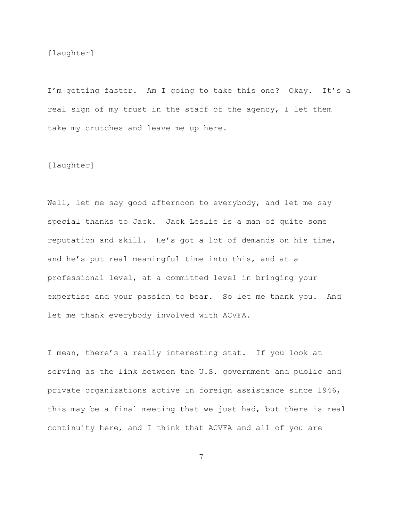[laughter]

I'm getting faster. Am I going to take this one? Okay. It's a real sign of my trust in the staff of the agency, I let them take my crutches and leave me up here.

#### [laughter]

Well, let me say good afternoon to everybody, and let me say special thanks to Jack. Jack Leslie is a man of quite some reputation and skill. He's got a lot of demands on his time, and he's put real meaningful time into this, and at a professional level, at a committed level in bringing your expertise and your passion to bear. So let me thank you. And let me thank everybody involved with ACVFA.

I mean, there's a really interesting stat. If you look at serving as the link between the U.S. government and public and private organizations active in foreign assistance since 1946, this may be a final meeting that we just had, but there is real continuity here, and I think that ACVFA and all of you are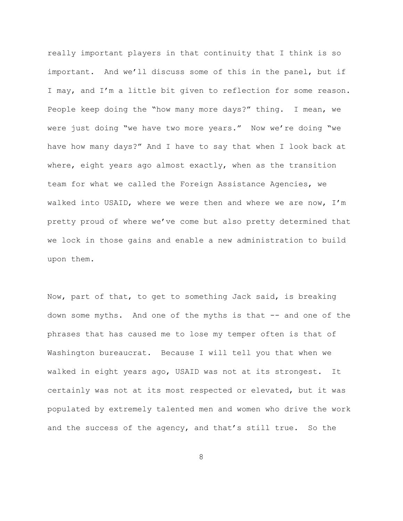really important players in that continuity that I think is so important. And we'll discuss some of this in the panel, but if I may, and I'm a little bit given to reflection for some reason. People keep doing the "how many more days?" thing. I mean, we were just doing "we have two more years." Now we're doing "we have how many days?" And I have to say that when I look back at where, eight years ago almost exactly, when as the transition team for what we called the Foreign Assistance Agencies, we walked into USAID, where we were then and where we are now, I'm pretty proud of where we've come but also pretty determined that we lock in those gains and enable a new administration to build upon them.

Now, part of that, to get to something Jack said, is breaking down some myths. And one of the myths is that -- and one of the phrases that has caused me to lose my temper often is that of Washington bureaucrat. Because I will tell you that when we walked in eight years ago, USAID was not at its strongest. It certainly was not at its most respected or elevated, but it was populated by extremely talented men and women who drive the work and the success of the agency, and that's still true. So the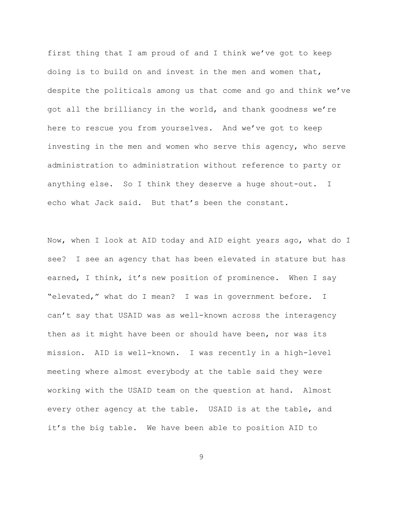first thing that I am proud of and I think we've got to keep doing is to build on and invest in the men and women that, despite the politicals among us that come and go and think we've got all the brilliancy in the world, and thank goodness we're here to rescue you from yourselves. And we've got to keep investing in the men and women who serve this agency, who serve administration to administration without reference to party or anything else. So I think they deserve a huge shout-out. I echo what Jack said. But that's been the constant.

Now, when I look at AID today and AID eight years ago, what do I see? I see an agency that has been elevated in stature but has earned, I think, it's new position of prominence. When I say "elevated," what do I mean? I was in government before. I can't say that USAID was as well-known across the interagency then as it might have been or should have been, nor was its mission. AID is well-known. I was recently in a high-level meeting where almost everybody at the table said they were working with the USAID team on the question at hand. Almost every other agency at the table. USAID is at the table, and it's the big table. We have been able to position AID to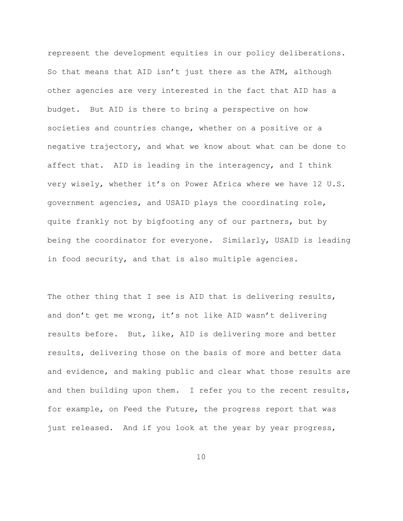represent the development equities in our policy deliberations. So that means that AID isn't just there as the ATM, although other agencies are very interested in the fact that AID has a budget. But AID is there to bring a perspective on how societies and countries change, whether on a positive or a negative trajectory, and what we know about what can be done to affect that. AID is leading in the interagency, and I think very wisely, whether it's on Power Africa where we have 12 U.S. government agencies, and USAID plays the coordinating role, quite frankly not by bigfooting any of our partners, but by being the coordinator for everyone. Similarly, USAID is leading in food security, and that is also multiple agencies.

The other thing that I see is AID that is delivering results, and don't get me wrong, it's not like AID wasn't delivering results before. But, like, AID is delivering more and better results, delivering those on the basis of more and better data and evidence, and making public and clear what those results are and then building upon them. I refer you to the recent results, for example, on Feed the Future, the progress report that was just released. And if you look at the year by year progress,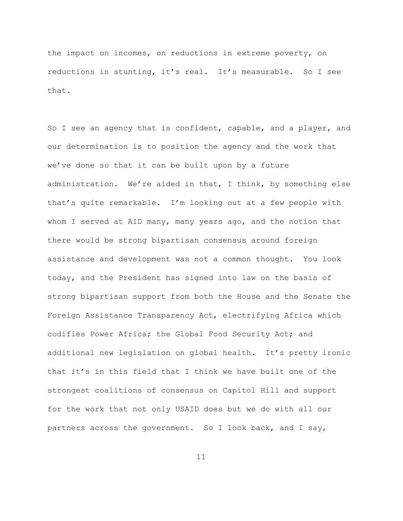the impact on incomes, on reductions in extreme poverty, on reductions in stunting, it's real. It's measurable. So I see that.

So I see an agency that is confident, capable, and a player, and our determination is to position the agency and the work that we've done so that it can be built upon by a future administration. We're aided in that, I think, by something else that's quite remarkable. I'm looking out at a few people with whom I served at AID many, many years ago, and the notion that there would be strong bipartisan consensus around foreign assistance and development was not a common thought. You look today, and the President has signed into law on the basis of strong bipartisan support from both the House and the Senate the Foreign Assistance Transparency Act, electrifying Africa which codifies Power Africa; the Global Food Security Act; and additional new legislation on global health. It's pretty ironic that it's in this field that I think we have built one of the strongest coalitions of consensus on Capitol Hill and support for the work that not only USAID does but we do with all our partners across the government. So I look back, and I say,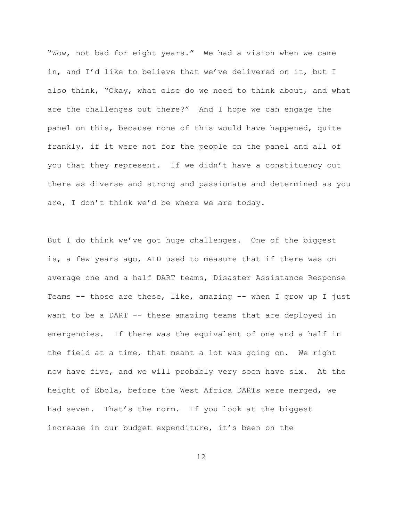"Wow, not bad for eight years." We had a vision when we came in, and I'd like to believe that we've delivered on it, but I also think, "Okay, what else do we need to think about, and what are the challenges out there?" And I hope we can engage the panel on this, because none of this would have happened, quite frankly, if it were not for the people on the panel and all of you that they represent. If we didn't have a constituency out there as diverse and strong and passionate and determined as you are, I don't think we'd be where we are today.

But I do think we've got huge challenges. One of the biggest is, a few years ago, AID used to measure that if there was on average one and a half DART teams, Disaster Assistance Response Teams -- those are these, like, amazing -- when I grow up I just want to be a DART -- these amazing teams that are deployed in emergencies. If there was the equivalent of one and a half in the field at a time, that meant a lot was going on. We right now have five, and we will probably very soon have six. At the height of Ebola, before the West Africa DARTs were merged, we had seven. That's the norm. If you look at the biggest increase in our budget expenditure, it's been on the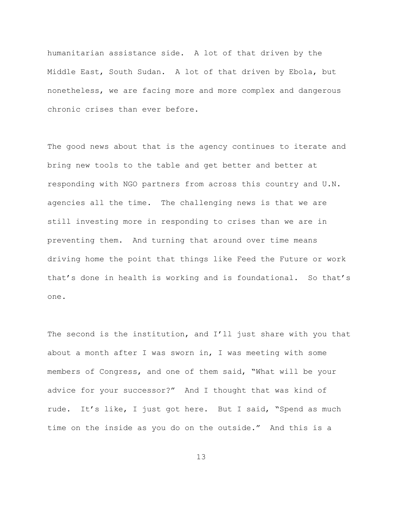humanitarian assistance side. A lot of that driven by the Middle East, South Sudan. A lot of that driven by Ebola, but nonetheless, we are facing more and more complex and dangerous chronic crises than ever before.

The good news about that is the agency continues to iterate and bring new tools to the table and get better and better at responding with NGO partners from across this country and U.N. agencies all the time. The challenging news is that we are still investing more in responding to crises than we are in preventing them. And turning that around over time means driving home the point that things like Feed the Future or work that's done in health is working and is foundational. So that's one.

The second is the institution, and I'll just share with you that about a month after I was sworn in, I was meeting with some members of Congress, and one of them said, "What will be your advice for your successor?" And I thought that was kind of rude. It's like, I just got here. But I said, "Spend as much time on the inside as you do on the outside." And this is a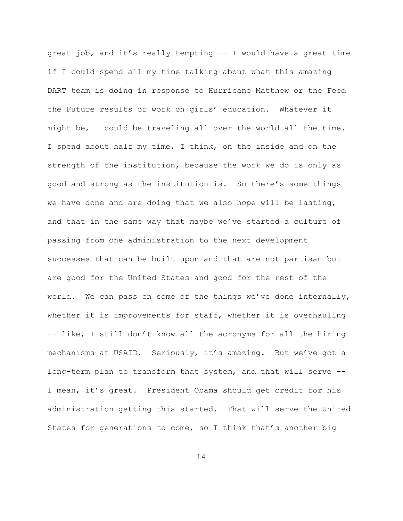great job, and it's really tempting -- I would have a great time if I could spend all my time talking about what this amazing DART team is doing in response to Hurricane Matthew or the Feed the Future results or work on girls' education. Whatever it might be, I could be traveling all over the world all the time. I spend about half my time, I think, on the inside and on the strength of the institution, because the work we do is only as good and strong as the institution is. So there's some things we have done and are doing that we also hope will be lasting, and that in the same way that maybe we've started a culture of passing from one administration to the next development successes that can be built upon and that are not partisan but are good for the United States and good for the rest of the world. We can pass on some of the things we've done internally, whether it is improvements for staff, whether it is overhauling -- like, I still don't know all the acronyms for all the hiring mechanisms at USAID. Seriously, it's amazing. But we've got a long-term plan to transform that system, and that will serve -- I mean, it's great. President Obama should get credit for his administration getting this started. That will serve the United States for generations to come, so I think that's another big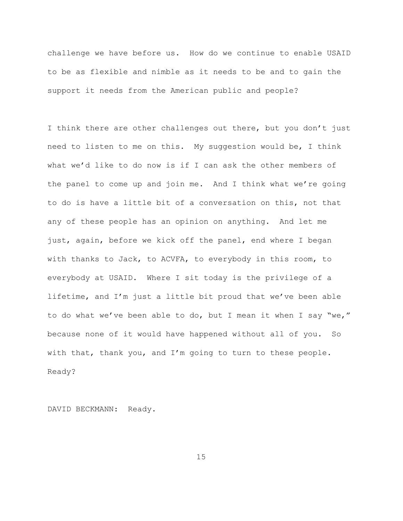challenge we have before us. How do we continue to enable USAID to be as flexible and nimble as it needs to be and to gain the support it needs from the American public and people?

I think there are other challenges out there, but you don't just need to listen to me on this. My suggestion would be, I think what we'd like to do now is if I can ask the other members of the panel to come up and join me. And I think what we're going to do is have a little bit of a conversation on this, not that any of these people has an opinion on anything. And let me just, again, before we kick off the panel, end where I began with thanks to Jack, to ACVFA, to everybody in this room, to everybody at USAID. Where I sit today is the privilege of a lifetime, and I'm just a little bit proud that we've been able to do what we've been able to do, but I mean it when I say "we," because none of it would have happened without all of you. So with that, thank you, and I'm going to turn to these people. Ready?

DAVID BECKMANN: Ready.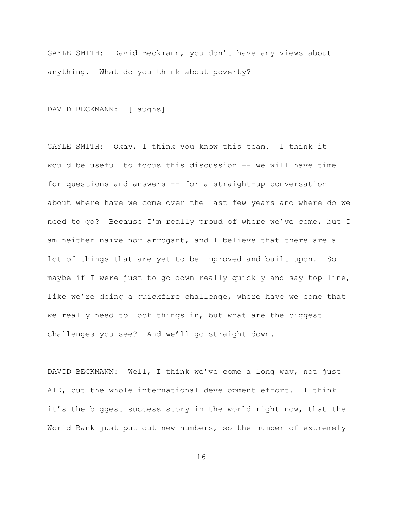GAYLE SMITH: David Beckmann, you don't have any views about anything. What do you think about poverty?

DAVID BECKMANN: [laughs]

GAYLE SMITH: Okay, I think you know this team. I think it would be useful to focus this discussion -- we will have time for questions and answers -- for a straight-up conversation about where have we come over the last few years and where do we need to go? Because I'm really proud of where we've come, but I am neither naïve nor arrogant, and I believe that there are a lot of things that are yet to be improved and built upon. So maybe if I were just to go down really quickly and say top line, like we're doing a quickfire challenge, where have we come that we really need to lock things in, but what are the biggest challenges you see? And we'll go straight down.

DAVID BECKMANN: Well, I think we've come a long way, not just AID, but the whole international development effort. I think it's the biggest success story in the world right now, that the World Bank just put out new numbers, so the number of extremely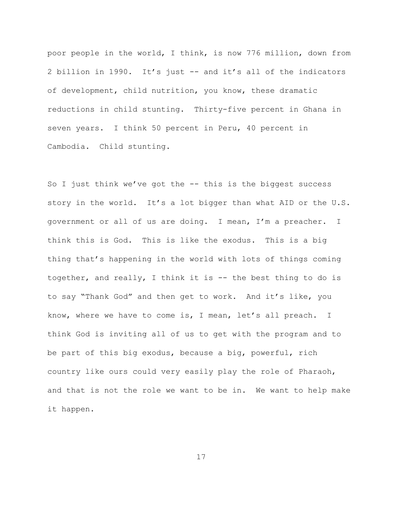poor people in the world, I think, is now 776 million, down from 2 billion in 1990. It's just -- and it's all of the indicators of development, child nutrition, you know, these dramatic reductions in child stunting. Thirty-five percent in Ghana in seven years. I think 50 percent in Peru, 40 percent in Cambodia. Child stunting.

So I just think we've got the -- this is the biggest success story in the world. It's a lot bigger than what AID or the U.S. government or all of us are doing. I mean, I'm a preacher. I think this is God. This is like the exodus. This is a big thing that's happening in the world with lots of things coming together, and really, I think it is -- the best thing to do is to say "Thank God" and then get to work. And it's like, you know, where we have to come is, I mean, let's all preach. I think God is inviting all of us to get with the program and to be part of this big exodus, because a big, powerful, rich country like ours could very easily play the role of Pharaoh, and that is not the role we want to be in. We want to help make it happen.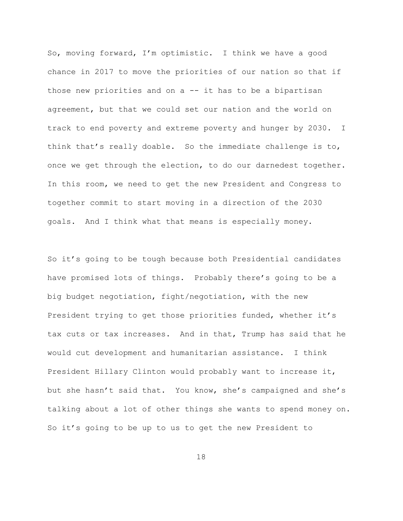So, moving forward, I'm optimistic. I think we have a good chance in 2017 to move the priorities of our nation so that if those new priorities and on a -- it has to be a bipartisan agreement, but that we could set our nation and the world on track to end poverty and extreme poverty and hunger by 2030. I think that's really doable. So the immediate challenge is to, once we get through the election, to do our darnedest together. In this room, we need to get the new President and Congress to together commit to start moving in a direction of the 2030 goals. And I think what that means is especially money.

So it's going to be tough because both Presidential candidates have promised lots of things. Probably there's going to be a big budget negotiation, fight/negotiation, with the new President trying to get those priorities funded, whether it's tax cuts or tax increases. And in that, Trump has said that he would cut development and humanitarian assistance. I think President Hillary Clinton would probably want to increase it, but she hasn't said that. You know, she's campaigned and she's talking about a lot of other things she wants to spend money on. So it's going to be up to us to get the new President to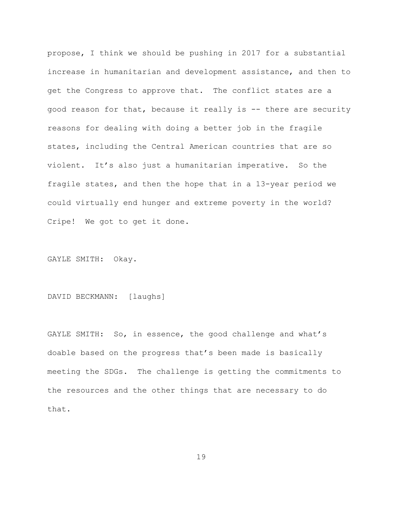propose, I think we should be pushing in 2017 for a substantial increase in humanitarian and development assistance, and then to get the Congress to approve that. The conflict states are a good reason for that, because it really is -- there are security reasons for dealing with doing a better job in the fragile states, including the Central American countries that are so violent. It's also just a humanitarian imperative. So the fragile states, and then the hope that in a 13-year period we could virtually end hunger and extreme poverty in the world? Cripe! We got to get it done.

GAYLE SMITH: Okay.

DAVID BECKMANN: [laughs]

GAYLE SMITH: So, in essence, the good challenge and what's doable based on the progress that's been made is basically meeting the SDGs. The challenge is getting the commitments to the resources and the other things that are necessary to do that.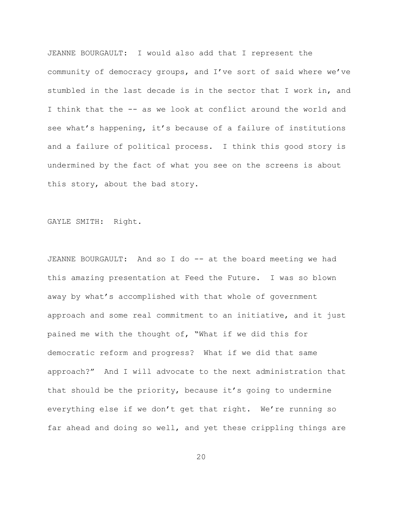JEANNE BOURGAULT: I would also add that I represent the community of democracy groups, and I've sort of said where we've stumbled in the last decade is in the sector that I work in, and I think that the -- as we look at conflict around the world and see what's happening, it's because of a failure of institutions and a failure of political process. I think this good story is undermined by the fact of what you see on the screens is about this story, about the bad story.

GAYLE SMITH: Right.

JEANNE BOURGAULT: And so I do -- at the board meeting we had this amazing presentation at Feed the Future. I was so blown away by what's accomplished with that whole of government approach and some real commitment to an initiative, and it just pained me with the thought of, "What if we did this for democratic reform and progress? What if we did that same approach?" And I will advocate to the next administration that that should be the priority, because it's going to undermine everything else if we don't get that right. We're running so far ahead and doing so well, and yet these crippling things are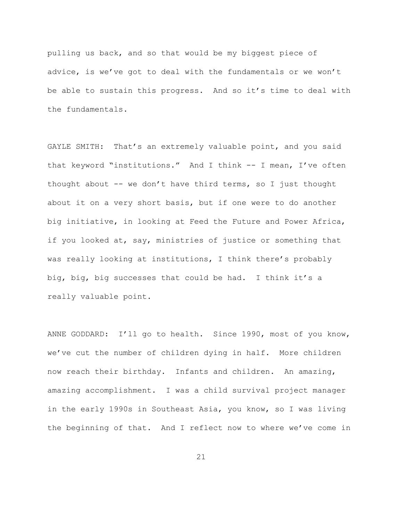pulling us back, and so that would be my biggest piece of advice, is we've got to deal with the fundamentals or we won't be able to sustain this progress. And so it's time to deal with the fundamentals.

GAYLE SMITH: That's an extremely valuable point, and you said that keyword "institutions." And I think -- I mean, I've often thought about -- we don't have third terms, so I just thought about it on a very short basis, but if one were to do another big initiative, in looking at Feed the Future and Power Africa, if you looked at, say, ministries of justice or something that was really looking at institutions, I think there's probably big, big, big successes that could be had. I think it's a really valuable point.

ANNE GODDARD: I'll go to health. Since 1990, most of you know, we've cut the number of children dying in half. More children now reach their birthday. Infants and children. An amazing, amazing accomplishment. I was a child survival project manager in the early 1990s in Southeast Asia, you know, so I was living the beginning of that. And I reflect now to where we've come in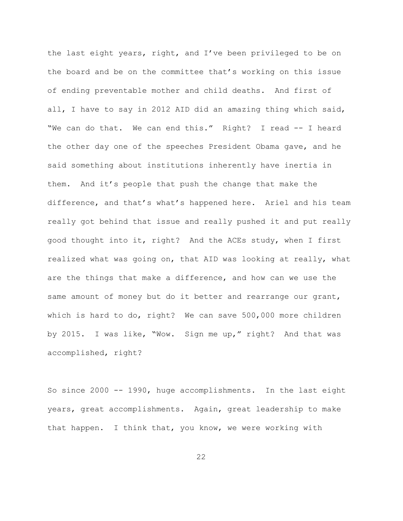the last eight years, right, and I've been privileged to be on the board and be on the committee that's working on this issue of ending preventable mother and child deaths. And first of all, I have to say in 2012 AID did an amazing thing which said, "We can do that. We can end this." Right? I read -- I heard the other day one of the speeches President Obama gave, and he said something about institutions inherently have inertia in them. And it's people that push the change that make the difference, and that's what's happened here. Ariel and his team really got behind that issue and really pushed it and put really good thought into it, right? And the ACEs study, when I first realized what was going on, that AID was looking at really, what are the things that make a difference, and how can we use the same amount of money but do it better and rearrange our grant, which is hard to do, right? We can save 500,000 more children by 2015. I was like, "Wow. Sign me up," right? And that was accomplished, right?

So since 2000 -- 1990, huge accomplishments. In the last eight years, great accomplishments. Again, great leadership to make that happen. I think that, you know, we were working with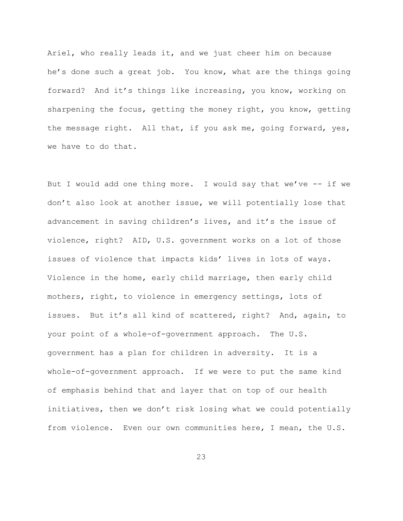Ariel, who really leads it, and we just cheer him on because he's done such a great job. You know, what are the things going forward? And it's things like increasing, you know, working on sharpening the focus, getting the money right, you know, getting the message right. All that, if you ask me, going forward, yes, we have to do that.

But I would add one thing more. I would say that we've -- if we don't also look at another issue, we will potentially lose that advancement in saving children's lives, and it's the issue of violence, right? AID, U.S. government works on a lot of those issues of violence that impacts kids' lives in lots of ways. Violence in the home, early child marriage, then early child mothers, right, to violence in emergency settings, lots of issues. But it's all kind of scattered, right? And, again, to your point of a whole-of-government approach. The U.S. government has a plan for children in adversity. It is a whole-of-government approach. If we were to put the same kind of emphasis behind that and layer that on top of our health initiatives, then we don't risk losing what we could potentially from violence. Even our own communities here, I mean, the U.S.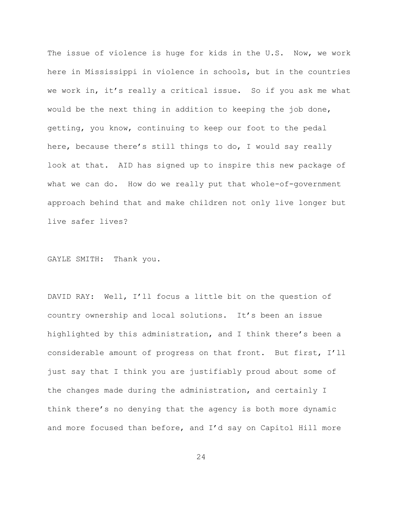The issue of violence is huge for kids in the U.S. Now, we work here in Mississippi in violence in schools, but in the countries we work in, it's really a critical issue. So if you ask me what would be the next thing in addition to keeping the job done, getting, you know, continuing to keep our foot to the pedal here, because there's still things to do, I would say really look at that. AID has signed up to inspire this new package of what we can do. How do we really put that whole-of-government approach behind that and make children not only live longer but live safer lives?

GAYLE SMITH: Thank you.

DAVID RAY: Well, I'll focus a little bit on the question of country ownership and local solutions. It's been an issue highlighted by this administration, and I think there's been a considerable amount of progress on that front. But first, I'll just say that I think you are justifiably proud about some of the changes made during the administration, and certainly I think there's no denying that the agency is both more dynamic and more focused than before, and I'd say on Capitol Hill more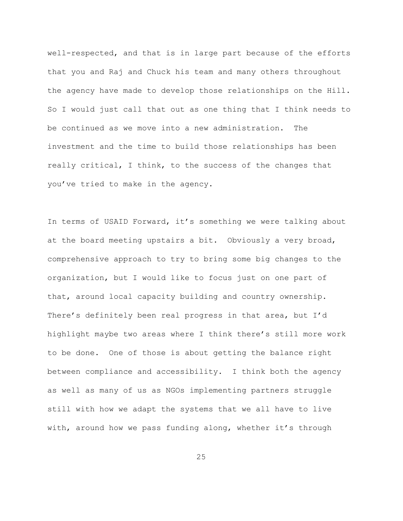well-respected, and that is in large part because of the efforts that you and Raj and Chuck his team and many others throughout the agency have made to develop those relationships on the Hill. So I would just call that out as one thing that I think needs to be continued as we move into a new administration. The investment and the time to build those relationships has been really critical, I think, to the success of the changes that you've tried to make in the agency.

In terms of USAID Forward, it's something we were talking about at the board meeting upstairs a bit. Obviously a very broad, comprehensive approach to try to bring some big changes to the organization, but I would like to focus just on one part of that, around local capacity building and country ownership. There's definitely been real progress in that area, but I'd highlight maybe two areas where I think there's still more work to be done. One of those is about getting the balance right between compliance and accessibility. I think both the agency as well as many of us as NGOs implementing partners struggle still with how we adapt the systems that we all have to live with, around how we pass funding along, whether it's through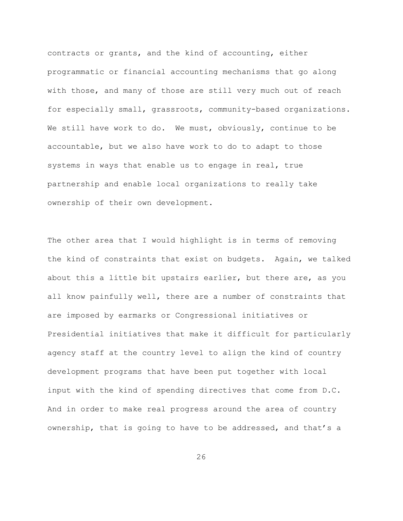contracts or grants, and the kind of accounting, either programmatic or financial accounting mechanisms that go along with those, and many of those are still very much out of reach for especially small, grassroots, community-based organizations. We still have work to do. We must, obviously, continue to be accountable, but we also have work to do to adapt to those systems in ways that enable us to engage in real, true partnership and enable local organizations to really take ownership of their own development.

The other area that I would highlight is in terms of removing the kind of constraints that exist on budgets. Again, we talked about this a little bit upstairs earlier, but there are, as you all know painfully well, there are a number of constraints that are imposed by earmarks or Congressional initiatives or Presidential initiatives that make it difficult for particularly agency staff at the country level to align the kind of country development programs that have been put together with local input with the kind of spending directives that come from D.C. And in order to make real progress around the area of country ownership, that is going to have to be addressed, and that's a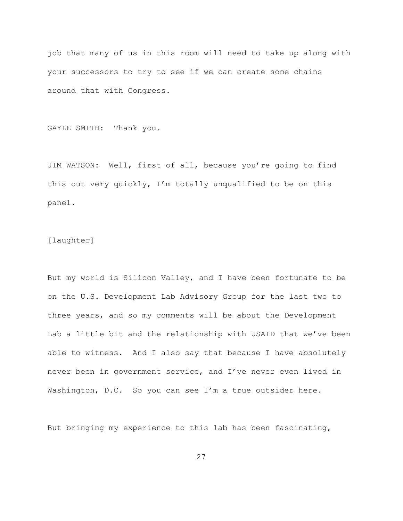job that many of us in this room will need to take up along with your successors to try to see if we can create some chains around that with Congress.

GAYLE SMITH: Thank you.

JIM WATSON: Well, first of all, because you're going to find this out very quickly, I'm totally unqualified to be on this panel.

## [laughter]

But my world is Silicon Valley, and I have been fortunate to be on the U.S. Development Lab Advisory Group for the last two to three years, and so my comments will be about the Development Lab a little bit and the relationship with USAID that we've been able to witness. And I also say that because I have absolutely never been in government service, and I've never even lived in Washington, D.C. So you can see I'm a true outsider here.

But bringing my experience to this lab has been fascinating,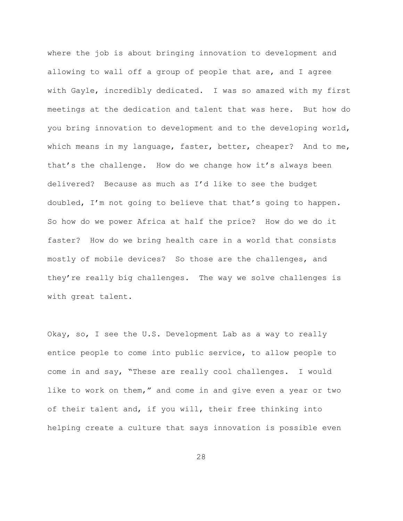where the job is about bringing innovation to development and allowing to wall off a group of people that are, and I agree with Gayle, incredibly dedicated. I was so amazed with my first meetings at the dedication and talent that was here. But how do you bring innovation to development and to the developing world, which means in my language, faster, better, cheaper? And to me, that's the challenge. How do we change how it's always been delivered? Because as much as I'd like to see the budget doubled, I'm not going to believe that that's going to happen. So how do we power Africa at half the price? How do we do it faster? How do we bring health care in a world that consists mostly of mobile devices? So those are the challenges, and they're really big challenges. The way we solve challenges is with great talent.

Okay, so, I see the U.S. Development Lab as a way to really entice people to come into public service, to allow people to come in and say, "These are really cool challenges. I would like to work on them," and come in and give even a year or two of their talent and, if you will, their free thinking into helping create a culture that says innovation is possible even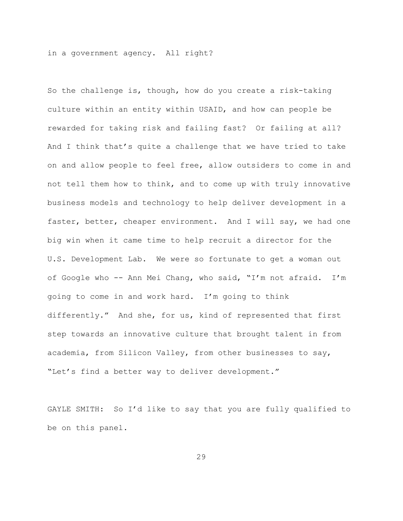in a government agency. All right?

So the challenge is, though, how do you create a risk-taking culture within an entity within USAID, and how can people be rewarded for taking risk and failing fast? Or failing at all? And I think that's quite a challenge that we have tried to take on and allow people to feel free, allow outsiders to come in and not tell them how to think, and to come up with truly innovative business models and technology to help deliver development in a faster, better, cheaper environment. And I will say, we had one big win when it came time to help recruit a director for the U.S. Development Lab. We were so fortunate to get a woman out of Google who -- Ann Mei Chang, who said, "I'm not afraid. I'm going to come in and work hard. I'm going to think differently." And she, for us, kind of represented that first step towards an innovative culture that brought talent in from academia, from Silicon Valley, from other businesses to say, "Let's find a better way to deliver development."

GAYLE SMITH: So I'd like to say that you are fully qualified to be on this panel.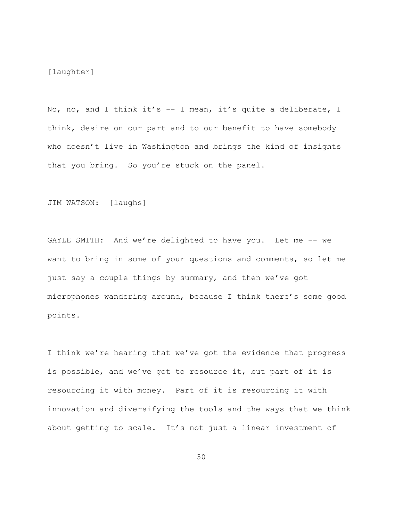[laughter]

No, no, and I think it's -- I mean, it's quite a deliberate, I think, desire on our part and to our benefit to have somebody who doesn't live in Washington and brings the kind of insights that you bring. So you're stuck on the panel.

JIM WATSON: [laughs]

GAYLE SMITH: And we're delighted to have you. Let me -- we want to bring in some of your questions and comments, so let me just say a couple things by summary, and then we've got microphones wandering around, because I think there's some good points.

I think we're hearing that we've got the evidence that progress is possible, and we've got to resource it, but part of it is resourcing it with money. Part of it is resourcing it with innovation and diversifying the tools and the ways that we think about getting to scale. It's not just a linear investment of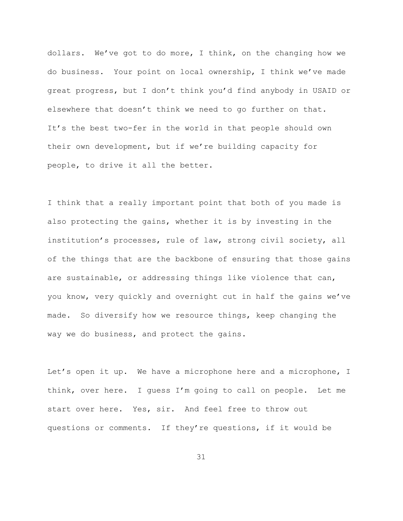dollars. We've got to do more, I think, on the changing how we do business. Your point on local ownership, I think we've made great progress, but I don't think you'd find anybody in USAID or elsewhere that doesn't think we need to go further on that. It's the best two-fer in the world in that people should own their own development, but if we're building capacity for people, to drive it all the better.

I think that a really important point that both of you made is also protecting the gains, whether it is by investing in the institution's processes, rule of law, strong civil society, all of the things that are the backbone of ensuring that those gains are sustainable, or addressing things like violence that can, you know, very quickly and overnight cut in half the gains we've made. So diversify how we resource things, keep changing the way we do business, and protect the gains.

Let's open it up. We have a microphone here and a microphone, I think, over here. I guess I'm going to call on people. Let me start over here. Yes, sir. And feel free to throw out questions or comments. If they're questions, if it would be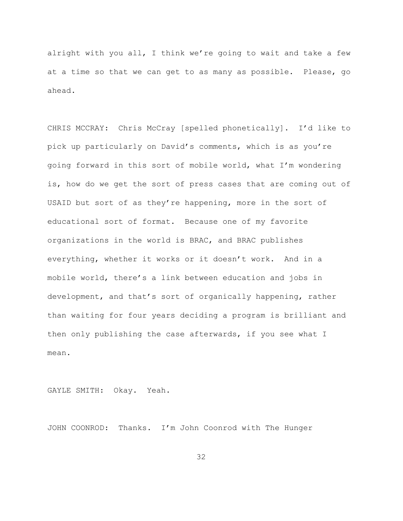alright with you all, I think we're going to wait and take a few at a time so that we can get to as many as possible. Please, go ahead.

CHRIS MCCRAY: Chris McCray [spelled phonetically]. I'd like to pick up particularly on David's comments, which is as you're going forward in this sort of mobile world, what I'm wondering is, how do we get the sort of press cases that are coming out of USAID but sort of as they're happening, more in the sort of educational sort of format. Because one of my favorite organizations in the world is BRAC, and BRAC publishes everything, whether it works or it doesn't work. And in a mobile world, there's a link between education and jobs in development, and that's sort of organically happening, rather than waiting for four years deciding a program is brilliant and then only publishing the case afterwards, if you see what I mean.

GAYLE SMITH: Okay. Yeah.

JOHN COONROD: Thanks. I'm John Coonrod with The Hunger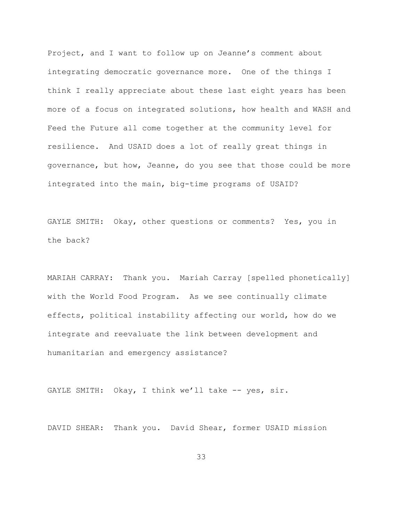Project, and I want to follow up on Jeanne's comment about integrating democratic governance more. One of the things I think I really appreciate about these last eight years has been more of a focus on integrated solutions, how health and WASH and Feed the Future all come together at the community level for resilience. And USAID does a lot of really great things in governance, but how, Jeanne, do you see that those could be more integrated into the main, big-time programs of USAID?

GAYLE SMITH: Okay, other questions or comments? Yes, you in the back?

MARIAH CARRAY: Thank you. Mariah Carray [spelled phonetically] with the World Food Program. As we see continually climate effects, political instability affecting our world, how do we integrate and reevaluate the link between development and humanitarian and emergency assistance?

GAYLE SMITH: Okay, I think we'll take  $-$ - yes, sir.

DAVID SHEAR: Thank you. David Shear, former USAID mission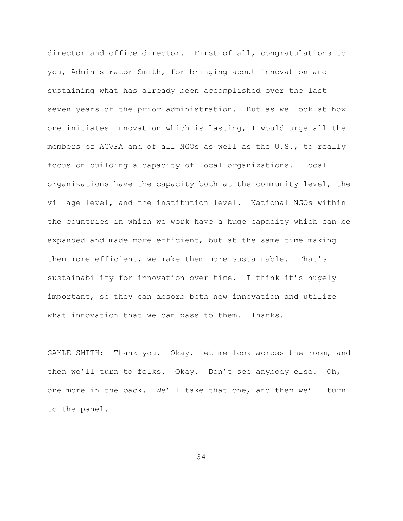director and office director. First of all, congratulations to you, Administrator Smith, for bringing about innovation and sustaining what has already been accomplished over the last seven years of the prior administration. But as we look at how one initiates innovation which is lasting, I would urge all the members of ACVFA and of all NGOs as well as the U.S., to really focus on building a capacity of local organizations. Local organizations have the capacity both at the community level, the village level, and the institution level. National NGOs within the countries in which we work have a huge capacity which can be expanded and made more efficient, but at the same time making them more efficient, we make them more sustainable. That's sustainability for innovation over time. I think it's hugely important, so they can absorb both new innovation and utilize what innovation that we can pass to them. Thanks.

GAYLE SMITH: Thank you. Okay, let me look across the room, and then we'll turn to folks. Okay. Don't see anybody else. Oh, one more in the back. We'll take that one, and then we'll turn to the panel.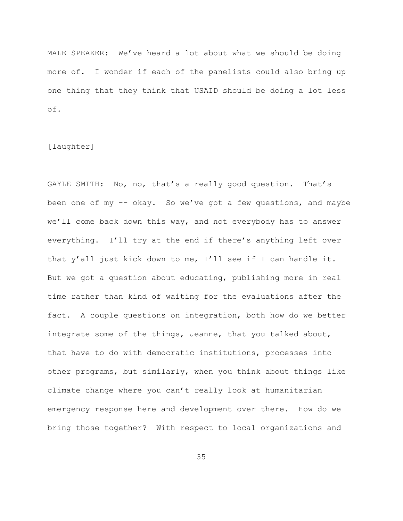MALE SPEAKER: We've heard a lot about what we should be doing more of. I wonder if each of the panelists could also bring up one thing that they think that USAID should be doing a lot less of.

[laughter]

GAYLE SMITH: No, no, that's a really good question. That's been one of my -- okay. So we've got a few questions, and maybe we'll come back down this way, and not everybody has to answer everything. I'll try at the end if there's anything left over that y'all just kick down to me, I'll see if I can handle it. But we got a question about educating, publishing more in real time rather than kind of waiting for the evaluations after the fact. A couple questions on integration, both how do we better integrate some of the things, Jeanne, that you talked about, that have to do with democratic institutions, processes into other programs, but similarly, when you think about things like climate change where you can't really look at humanitarian emergency response here and development over there. How do we bring those together? With respect to local organizations and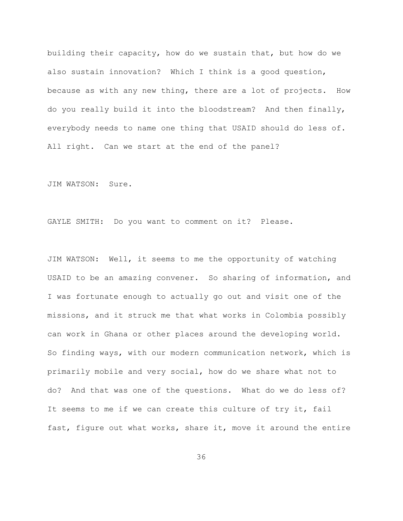building their capacity, how do we sustain that, but how do we also sustain innovation? Which I think is a good question, because as with any new thing, there are a lot of projects. How do you really build it into the bloodstream? And then finally, everybody needs to name one thing that USAID should do less of. All right. Can we start at the end of the panel?

JIM WATSON: Sure.

GAYLE SMITH: Do you want to comment on it? Please.

JIM WATSON: Well, it seems to me the opportunity of watching USAID to be an amazing convener. So sharing of information, and I was fortunate enough to actually go out and visit one of the missions, and it struck me that what works in Colombia possibly can work in Ghana or other places around the developing world. So finding ways, with our modern communication network, which is primarily mobile and very social, how do we share what not to do? And that was one of the questions. What do we do less of? It seems to me if we can create this culture of try it, fail fast, figure out what works, share it, move it around the entire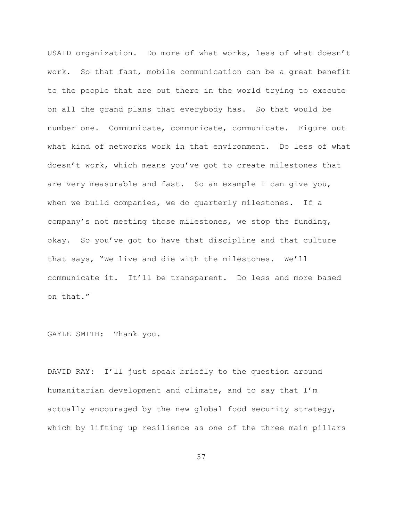USAID organization. Do more of what works, less of what doesn't work. So that fast, mobile communication can be a great benefit to the people that are out there in the world trying to execute on all the grand plans that everybody has. So that would be number one. Communicate, communicate, communicate. Figure out what kind of networks work in that environment. Do less of what doesn't work, which means you've got to create milestones that are very measurable and fast. So an example I can give you, when we build companies, we do quarterly milestones. If a company's not meeting those milestones, we stop the funding, okay. So you've got to have that discipline and that culture that says, "We live and die with the milestones. We'll communicate it. It'll be transparent. Do less and more based on that."

GAYLE SMITH: Thank you.

DAVID RAY: I'll just speak briefly to the question around humanitarian development and climate, and to say that I'm actually encouraged by the new global food security strategy, which by lifting up resilience as one of the three main pillars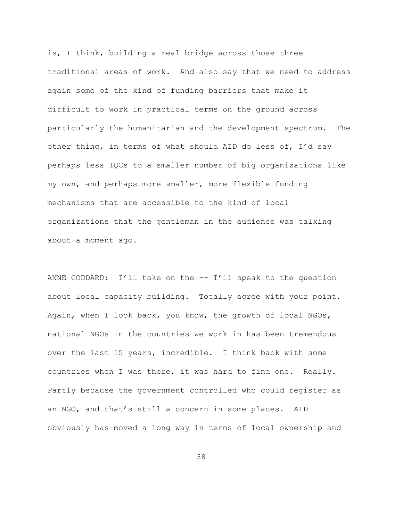is, I think, building a real bridge across those three traditional areas of work. And also say that we need to address again some of the kind of funding barriers that make it difficult to work in practical terms on the ground across particularly the humanitarian and the development spectrum. The other thing, in terms of what should AID do less of, I'd say perhaps less IQCs to a smaller number of big organizations like my own, and perhaps more smaller, more flexible funding mechanisms that are accessible to the kind of local organizations that the gentleman in the audience was talking about a moment ago.

ANNE GODDARD: I'll take on the -- I'll speak to the question about local capacity building. Totally agree with your point. Again, when I look back, you know, the growth of local NGOs, national NGOs in the countries we work in has been tremendous over the last 15 years, incredible. I think back with some countries when I was there, it was hard to find one. Really. Partly because the government controlled who could register as an NGO, and that's still a concern in some places. AID obviously has moved a long way in terms of local ownership and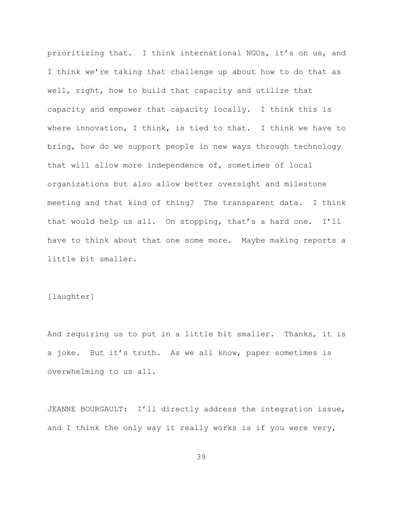prioritizing that. I think international NGOs, it's on us, and I think we're taking that challenge up about how to do that as well, right, how to build that capacity and utilize that capacity and empower that capacity locally. I think this is where innovation, I think, is tied to that. I think we have to bring, how do we support people in new ways through technology that will allow more independence of, sometimes of local organizations but also allow better oversight and milestone meeting and that kind of thing? The transparent data. I think that would help us all. On stopping, that's a hard one. I'll have to think about that one some more. Maybe making reports a little bit smaller.

#### [laughter]

And requiring us to put in a little bit smaller. Thanks, it is a joke. But it's truth. As we all know, paper sometimes is overwhelming to us all.

JEANNE BOURGAULT: I'll directly address the integration issue, and I think the only way it really works is if you were very,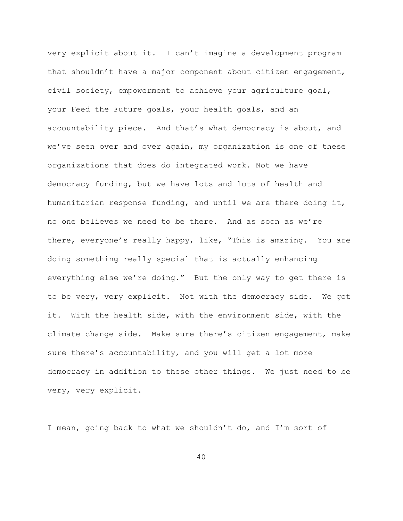very explicit about it. I can't imagine a development program that shouldn't have a major component about citizen engagement, civil society, empowerment to achieve your agriculture goal, your Feed the Future goals, your health goals, and an accountability piece. And that's what democracy is about, and we've seen over and over again, my organization is one of these organizations that does do integrated work. Not we have democracy funding, but we have lots and lots of health and humanitarian response funding, and until we are there doing it, no one believes we need to be there. And as soon as we're there, everyone's really happy, like, "This is amazing. You are doing something really special that is actually enhancing everything else we're doing." But the only way to get there is to be very, very explicit. Not with the democracy side. We got it. With the health side, with the environment side, with the climate change side. Make sure there's citizen engagement, make sure there's accountability, and you will get a lot more democracy in addition to these other things. We just need to be very, very explicit.

I mean, going back to what we shouldn't do, and I'm sort of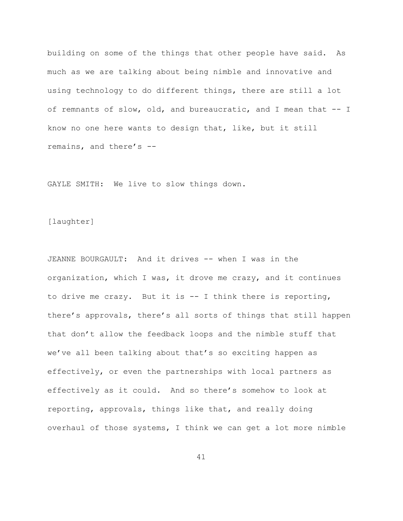building on some of the things that other people have said. As much as we are talking about being nimble and innovative and using technology to do different things, there are still a lot of remnants of slow, old, and bureaucratic, and I mean that -- I know no one here wants to design that, like, but it still remains, and there's --

GAYLE SMITH: We live to slow things down.

[laughter]

JEANNE BOURGAULT: And it drives -- when I was in the organization, which I was, it drove me crazy, and it continues to drive me crazy. But it is -- I think there is reporting, there's approvals, there's all sorts of things that still happen that don't allow the feedback loops and the nimble stuff that we've all been talking about that's so exciting happen as effectively, or even the partnerships with local partners as effectively as it could. And so there's somehow to look at reporting, approvals, things like that, and really doing overhaul of those systems, I think we can get a lot more nimble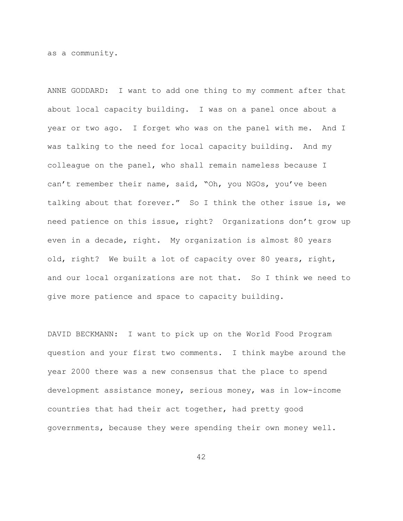as a community.

ANNE GODDARD: I want to add one thing to my comment after that about local capacity building. I was on a panel once about a year or two ago. I forget who was on the panel with me. And I was talking to the need for local capacity building. And my colleague on the panel, who shall remain nameless because I can't remember their name, said, "Oh, you NGOs, you've been talking about that forever." So I think the other issue is, we need patience on this issue, right? Organizations don't grow up even in a decade, right. My organization is almost 80 years old, right? We built a lot of capacity over 80 years, right, and our local organizations are not that. So I think we need to give more patience and space to capacity building.

DAVID BECKMANN: I want to pick up on the World Food Program question and your first two comments. I think maybe around the year 2000 there was a new consensus that the place to spend development assistance money, serious money, was in low-income countries that had their act together, had pretty good governments, because they were spending their own money well.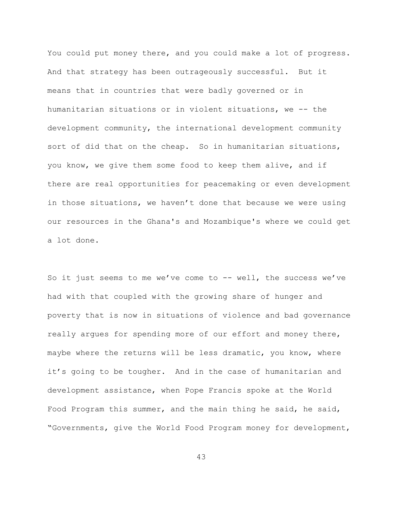You could put money there, and you could make a lot of progress. And that strategy has been outrageously successful. But it means that in countries that were badly governed or in humanitarian situations or in violent situations, we -- the development community, the international development community sort of did that on the cheap. So in humanitarian situations, you know, we give them some food to keep them alive, and if there are real opportunities for peacemaking or even development in those situations, we haven't done that because we were using our resources in the Ghana's and Mozambique's where we could get a lot done.

So it just seems to me we've come to -- well, the success we've had with that coupled with the growing share of hunger and poverty that is now in situations of violence and bad governance really argues for spending more of our effort and money there, maybe where the returns will be less dramatic, you know, where it's going to be tougher. And in the case of humanitarian and development assistance, when Pope Francis spoke at the World Food Program this summer, and the main thing he said, he said, "Governments, give the World Food Program money for development,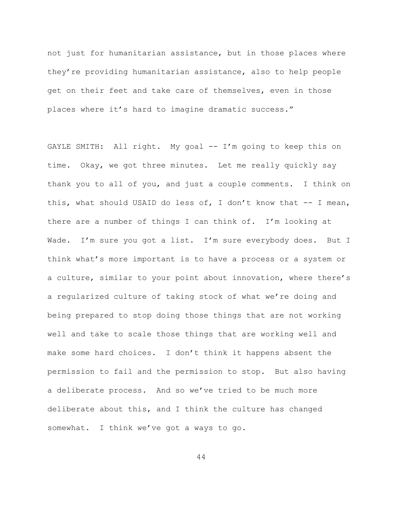not just for humanitarian assistance, but in those places where they're providing humanitarian assistance, also to help people get on their feet and take care of themselves, even in those places where it's hard to imagine dramatic success."

GAYLE SMITH: All right. My goal -- I'm going to keep this on time. Okay, we got three minutes. Let me really quickly say thank you to all of you, and just a couple comments. I think on this, what should USAID do less of, I don't know that -- I mean, there are a number of things I can think of. I'm looking at Wade. I'm sure you got a list. I'm sure everybody does. But I think what's more important is to have a process or a system or a culture, similar to your point about innovation, where there's a regularized culture of taking stock of what we're doing and being prepared to stop doing those things that are not working well and take to scale those things that are working well and make some hard choices. I don't think it happens absent the permission to fail and the permission to stop. But also having a deliberate process. And so we've tried to be much more deliberate about this, and I think the culture has changed somewhat. I think we've got a ways to go.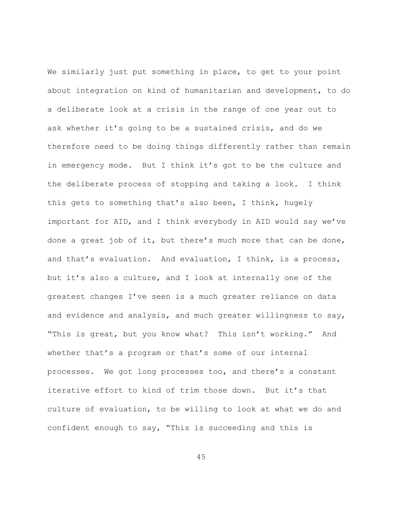We similarly just put something in place, to get to your point about integration on kind of humanitarian and development, to do a deliberate look at a crisis in the range of one year out to ask whether it's going to be a sustained crisis, and do we therefore need to be doing things differently rather than remain in emergency mode. But I think it's got to be the culture and the deliberate process of stopping and taking a look. I think this gets to something that's also been, I think, hugely important for AID, and I think everybody in AID would say we've done a great job of it, but there's much more that can be done, and that's evaluation. And evaluation, I think, is a process, but it's also a culture, and I look at internally one of the greatest changes I've seen is a much greater reliance on data and evidence and analysis, and much greater willingness to say, "This is great, but you know what? This isn't working." And whether that's a program or that's some of our internal processes. We got long processes too, and there's a constant iterative effort to kind of trim those down. But it's that culture of evaluation, to be willing to look at what we do and confident enough to say, "This is succeeding and this is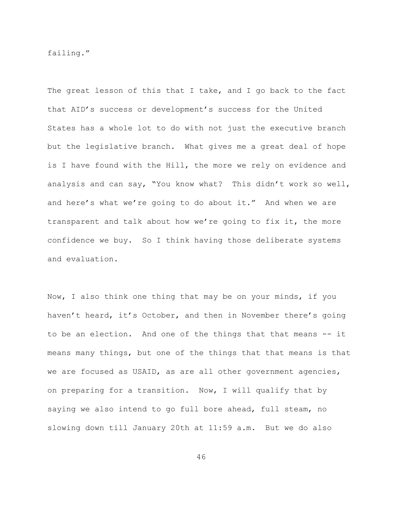failing."

The great lesson of this that I take, and I go back to the fact that AID's success or development's success for the United States has a whole lot to do with not just the executive branch but the legislative branch. What gives me a great deal of hope is I have found with the Hill, the more we rely on evidence and analysis and can say, "You know what? This didn't work so well, and here's what we're going to do about it." And when we are transparent and talk about how we're going to fix it, the more confidence we buy. So I think having those deliberate systems and evaluation.

Now, I also think one thing that may be on your minds, if you haven't heard, it's October, and then in November there's going to be an election. And one of the things that that means -- it means many things, but one of the things that that means is that we are focused as USAID, as are all other government agencies, on preparing for a transition. Now, I will qualify that by saying we also intend to go full bore ahead, full steam, no slowing down till January 20th at 11:59 a.m. But we do also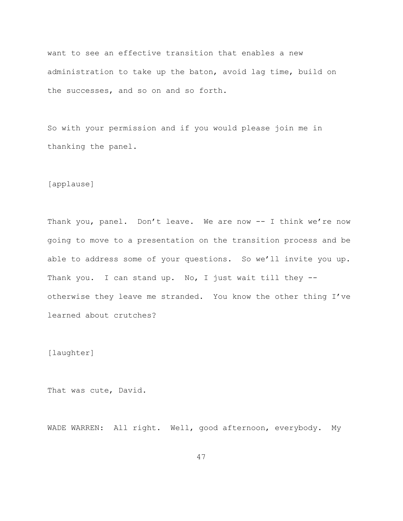want to see an effective transition that enables a new administration to take up the baton, avoid lag time, build on the successes, and so on and so forth.

So with your permission and if you would please join me in thanking the panel.

[applause]

Thank you, panel. Don't leave. We are now -- I think we're now going to move to a presentation on the transition process and be able to address some of your questions. So we'll invite you up. Thank you. I can stand up. No, I just wait till they -otherwise they leave me stranded. You know the other thing I've learned about crutches?

[laughter]

That was cute, David.

WADE WARREN: All right. Well, good afternoon, everybody. My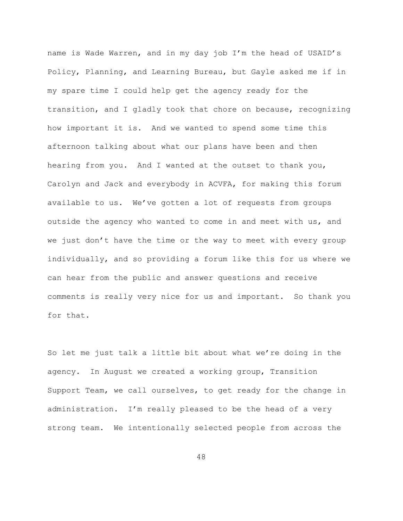name is Wade Warren, and in my day job I'm the head of USAID's Policy, Planning, and Learning Bureau, but Gayle asked me if in my spare time I could help get the agency ready for the transition, and I gladly took that chore on because, recognizing how important it is. And we wanted to spend some time this afternoon talking about what our plans have been and then hearing from you. And I wanted at the outset to thank you, Carolyn and Jack and everybody in ACVFA, for making this forum available to us. We've gotten a lot of requests from groups outside the agency who wanted to come in and meet with us, and we just don't have the time or the way to meet with every group individually, and so providing a forum like this for us where we can hear from the public and answer questions and receive comments is really very nice for us and important. So thank you for that.

So let me just talk a little bit about what we're doing in the agency. In August we created a working group, Transition Support Team, we call ourselves, to get ready for the change in administration. I'm really pleased to be the head of a very strong team. We intentionally selected people from across the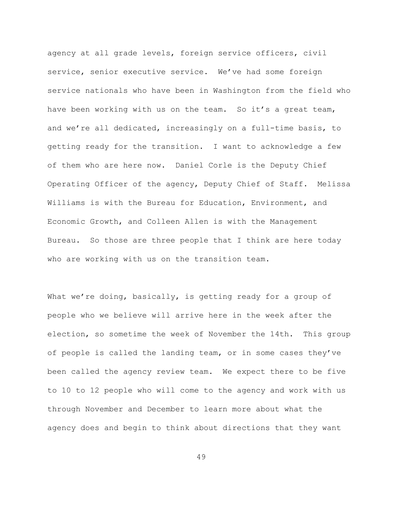agency at all grade levels, foreign service officers, civil service, senior executive service. We've had some foreign service nationals who have been in Washington from the field who have been working with us on the team. So it's a great team, and we're all dedicated, increasingly on a full-time basis, to getting ready for the transition. I want to acknowledge a few of them who are here now. Daniel Corle is the Deputy Chief Operating Officer of the agency, Deputy Chief of Staff. Melissa Williams is with the Bureau for Education, Environment, and Economic Growth, and Colleen Allen is with the Management Bureau. So those are three people that I think are here today who are working with us on the transition team.

What we're doing, basically, is getting ready for a group of people who we believe will arrive here in the week after the election, so sometime the week of November the 14th. This group of people is called the landing team, or in some cases they've been called the agency review team. We expect there to be five to 10 to 12 people who will come to the agency and work with us through November and December to learn more about what the agency does and begin to think about directions that they want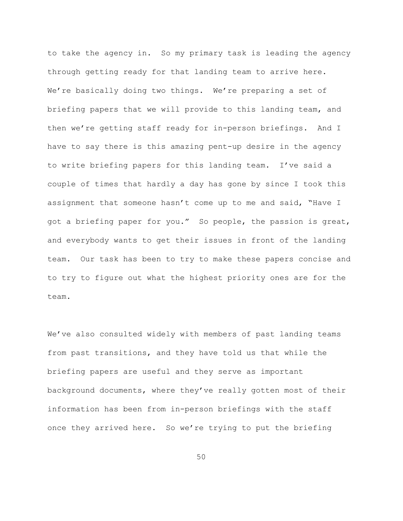to take the agency in. So my primary task is leading the agency through getting ready for that landing team to arrive here. We're basically doing two things. We're preparing a set of briefing papers that we will provide to this landing team, and then we're getting staff ready for in-person briefings. And I have to say there is this amazing pent-up desire in the agency to write briefing papers for this landing team. I've said a couple of times that hardly a day has gone by since I took this assignment that someone hasn't come up to me and said, "Have I got a briefing paper for you." So people, the passion is great, and everybody wants to get their issues in front of the landing team. Our task has been to try to make these papers concise and to try to figure out what the highest priority ones are for the team.

We've also consulted widely with members of past landing teams from past transitions, and they have told us that while the briefing papers are useful and they serve as important background documents, where they've really gotten most of their information has been from in-person briefings with the staff once they arrived here. So we're trying to put the briefing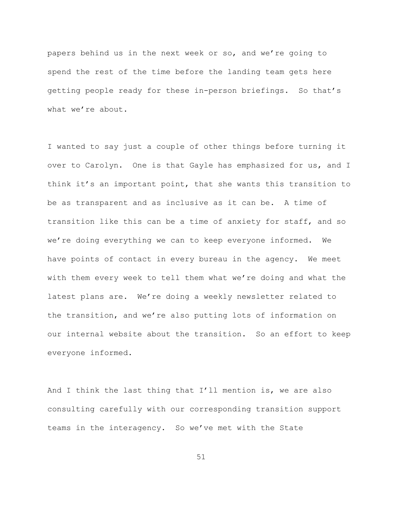papers behind us in the next week or so, and we're going to spend the rest of the time before the landing team gets here getting people ready for these in-person briefings. So that's what we're about.

I wanted to say just a couple of other things before turning it over to Carolyn. One is that Gayle has emphasized for us, and I think it's an important point, that she wants this transition to be as transparent and as inclusive as it can be. A time of transition like this can be a time of anxiety for staff, and so we're doing everything we can to keep everyone informed. We have points of contact in every bureau in the agency. We meet with them every week to tell them what we're doing and what the latest plans are. We're doing a weekly newsletter related to the transition, and we're also putting lots of information on our internal website about the transition. So an effort to keep everyone informed.

And I think the last thing that I'll mention is, we are also consulting carefully with our corresponding transition support teams in the interagency. So we've met with the State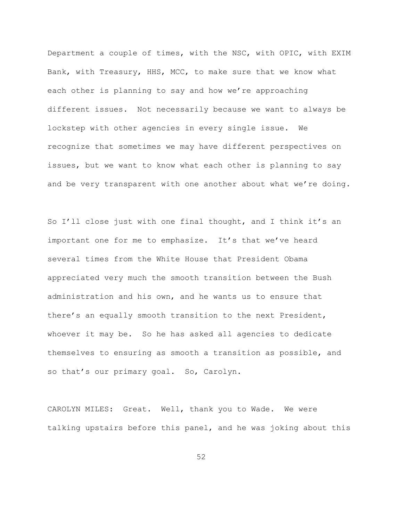Department a couple of times, with the NSC, with OPIC, with EXIM Bank, with Treasury, HHS, MCC, to make sure that we know what each other is planning to say and how we're approaching different issues. Not necessarily because we want to always be lockstep with other agencies in every single issue. We recognize that sometimes we may have different perspectives on issues, but we want to know what each other is planning to say and be very transparent with one another about what we're doing.

So I'll close just with one final thought, and I think it's an important one for me to emphasize. It's that we've heard several times from the White House that President Obama appreciated very much the smooth transition between the Bush administration and his own, and he wants us to ensure that there's an equally smooth transition to the next President, whoever it may be. So he has asked all agencies to dedicate themselves to ensuring as smooth a transition as possible, and so that's our primary goal. So, Carolyn.

CAROLYN MILES: Great. Well, thank you to Wade. We were talking upstairs before this panel, and he was joking about this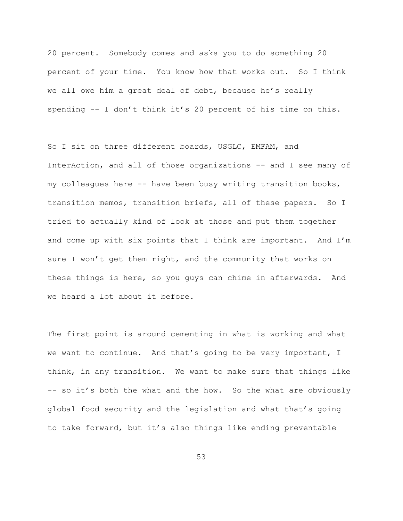20 percent. Somebody comes and asks you to do something 20 percent of your time. You know how that works out. So I think we all owe him a great deal of debt, because he's really spending -- I don't think it's 20 percent of his time on this.

So I sit on three different boards, USGLC, EMFAM, and InterAction, and all of those organizations -- and I see many of my colleagues here -- have been busy writing transition books, transition memos, transition briefs, all of these papers. So I tried to actually kind of look at those and put them together and come up with six points that I think are important. And I'm sure I won't get them right, and the community that works on these things is here, so you guys can chime in afterwards. And we heard a lot about it before.

The first point is around cementing in what is working and what we want to continue. And that's going to be very important, I think, in any transition. We want to make sure that things like -- so it's both the what and the how. So the what are obviously global food security and the legislation and what that's going to take forward, but it's also things like ending preventable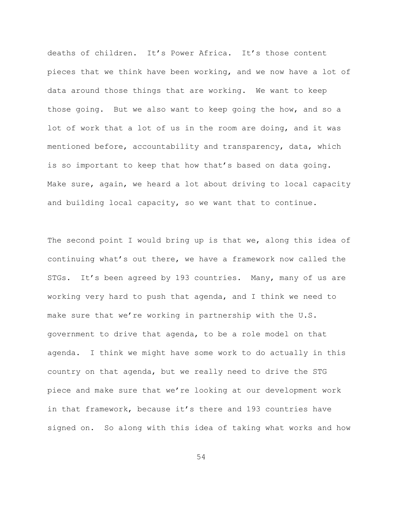deaths of children. It's Power Africa. It's those content pieces that we think have been working, and we now have a lot of data around those things that are working. We want to keep those going. But we also want to keep going the how, and so a lot of work that a lot of us in the room are doing, and it was mentioned before, accountability and transparency, data, which is so important to keep that how that's based on data going. Make sure, again, we heard a lot about driving to local capacity and building local capacity, so we want that to continue.

The second point I would bring up is that we, along this idea of continuing what's out there, we have a framework now called the STGs. It's been agreed by 193 countries. Many, many of us are working very hard to push that agenda, and I think we need to make sure that we're working in partnership with the U.S. government to drive that agenda, to be a role model on that agenda. I think we might have some work to do actually in this country on that agenda, but we really need to drive the STG piece and make sure that we're looking at our development work in that framework, because it's there and 193 countries have signed on. So along with this idea of taking what works and how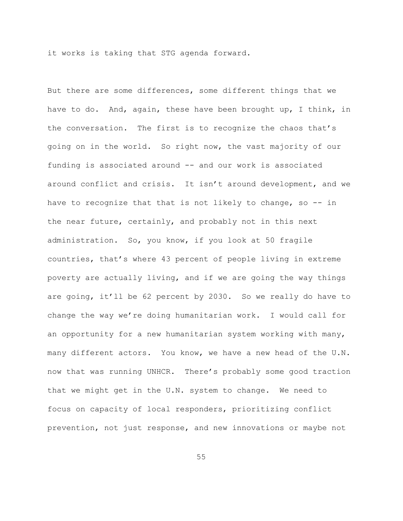it works is taking that STG agenda forward.

But there are some differences, some different things that we have to do. And, again, these have been brought up, I think, in the conversation. The first is to recognize the chaos that's going on in the world. So right now, the vast majority of our funding is associated around -- and our work is associated around conflict and crisis. It isn't around development, and we have to recognize that that is not likely to change, so -- in the near future, certainly, and probably not in this next administration. So, you know, if you look at 50 fragile countries, that's where 43 percent of people living in extreme poverty are actually living, and if we are going the way things are going, it'll be 62 percent by 2030. So we really do have to change the way we're doing humanitarian work. I would call for an opportunity for a new humanitarian system working with many, many different actors. You know, we have a new head of the U.N. now that was running UNHCR. There's probably some good traction that we might get in the U.N. system to change. We need to focus on capacity of local responders, prioritizing conflict prevention, not just response, and new innovations or maybe not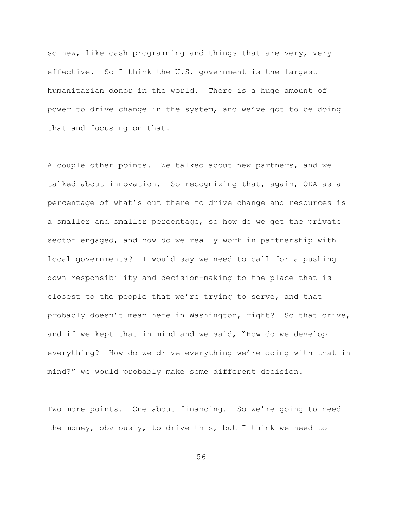so new, like cash programming and things that are very, very effective. So I think the U.S. government is the largest humanitarian donor in the world. There is a huge amount of power to drive change in the system, and we've got to be doing that and focusing on that.

A couple other points. We talked about new partners, and we talked about innovation. So recognizing that, again, ODA as a percentage of what's out there to drive change and resources is a smaller and smaller percentage, so how do we get the private sector engaged, and how do we really work in partnership with local governments? I would say we need to call for a pushing down responsibility and decision-making to the place that is closest to the people that we're trying to serve, and that probably doesn't mean here in Washington, right? So that drive, and if we kept that in mind and we said, "How do we develop everything? How do we drive everything we're doing with that in mind?" we would probably make some different decision.

Two more points. One about financing. So we're going to need the money, obviously, to drive this, but I think we need to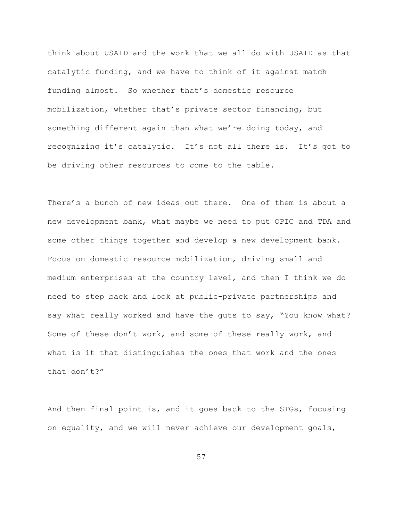think about USAID and the work that we all do with USAID as that catalytic funding, and we have to think of it against match funding almost. So whether that's domestic resource mobilization, whether that's private sector financing, but something different again than what we're doing today, and recognizing it's catalytic. It's not all there is. It's got to be driving other resources to come to the table.

There's a bunch of new ideas out there. One of them is about a new development bank, what maybe we need to put OPIC and TDA and some other things together and develop a new development bank. Focus on domestic resource mobilization, driving small and medium enterprises at the country level, and then I think we do need to step back and look at public-private partnerships and say what really worked and have the guts to say, "You know what? Some of these don't work, and some of these really work, and what is it that distinguishes the ones that work and the ones that don't?"

And then final point is, and it goes back to the STGs, focusing on equality, and we will never achieve our development goals,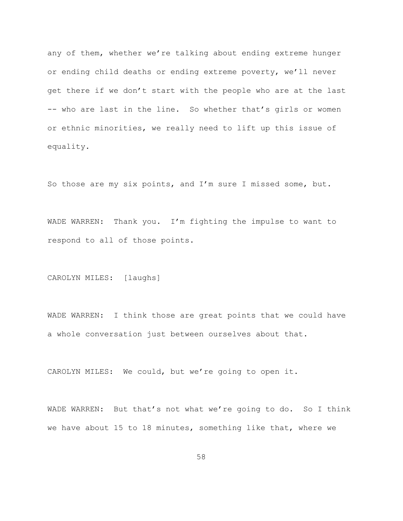any of them, whether we're talking about ending extreme hunger or ending child deaths or ending extreme poverty, we'll never get there if we don't start with the people who are at the last -- who are last in the line. So whether that's girls or women or ethnic minorities, we really need to lift up this issue of equality.

So those are my six points, and I'm sure I missed some, but.

WADE WARREN: Thank you. I'm fighting the impulse to want to respond to all of those points.

CAROLYN MILES: [laughs]

WADE WARREN: I think those are great points that we could have a whole conversation just between ourselves about that.

CAROLYN MILES: We could, but we're going to open it.

WADE WARREN: But that's not what we're going to do. So I think we have about 15 to 18 minutes, something like that, where we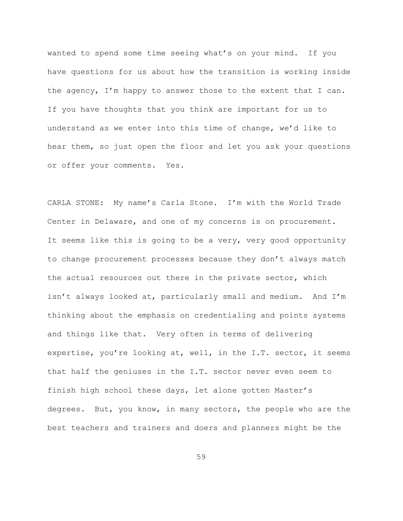wanted to spend some time seeing what's on your mind. If you have questions for us about how the transition is working inside the agency, I'm happy to answer those to the extent that I can. If you have thoughts that you think are important for us to understand as we enter into this time of change, we'd like to hear them, so just open the floor and let you ask your questions or offer your comments. Yes.

CARLA STONE: My name's Carla Stone. I'm with the World Trade Center in Delaware, and one of my concerns is on procurement. It seems like this is going to be a very, very good opportunity to change procurement processes because they don't always match the actual resources out there in the private sector, which isn't always looked at, particularly small and medium. And I'm thinking about the emphasis on credentialing and points systems and things like that. Very often in terms of delivering expertise, you're looking at, well, in the I.T. sector, it seems that half the geniuses in the I.T. sector never even seem to finish high school these days, let alone gotten Master's degrees. But, you know, in many sectors, the people who are the best teachers and trainers and doers and planners might be the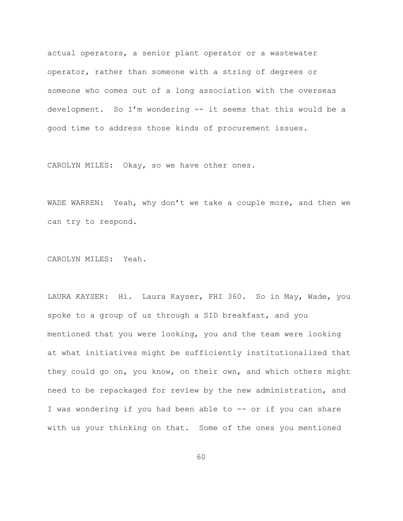actual operators, a senior plant operator or a wastewater operator, rather than someone with a string of degrees or someone who comes out of a long association with the overseas development. So I'm wondering -- it seems that this would be a good time to address those kinds of procurement issues.

CAROLYN MILES: Okay, so we have other ones.

WADE WARREN: Yeah, why don't we take a couple more, and then we can try to respond.

CAROLYN MILES: Yeah.

LAURA KAYSER: Hi. Laura Kayser, FHI 360. So in May, Wade, you spoke to a group of us through a SID breakfast, and you mentioned that you were looking, you and the team were looking at what initiatives might be sufficiently institutionalized that they could go on, you know, on their own, and which others might need to be repackaged for review by the new administration, and I was wondering if you had been able to -- or if you can share with us your thinking on that. Some of the ones you mentioned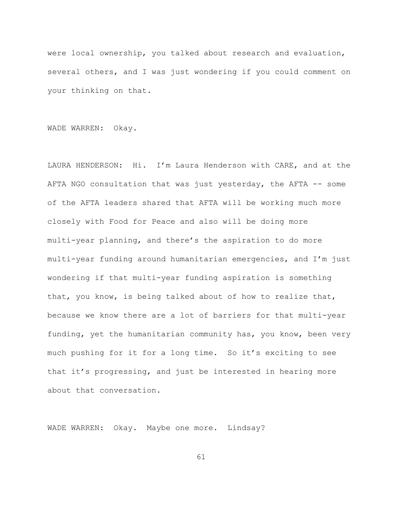were local ownership, you talked about research and evaluation, several others, and I was just wondering if you could comment on your thinking on that.

WADE WARREN: Okay.

LAURA HENDERSON: Hi. I'm Laura Henderson with CARE, and at the AFTA NGO consultation that was just yesterday, the AFTA -- some of the AFTA leaders shared that AFTA will be working much more closely with Food for Peace and also will be doing more multi-year planning, and there's the aspiration to do more multi-year funding around humanitarian emergencies, and I'm just wondering if that multi-year funding aspiration is something that, you know, is being talked about of how to realize that, because we know there are a lot of barriers for that multi-year funding, yet the humanitarian community has, you know, been very much pushing for it for a long time. So it's exciting to see that it's progressing, and just be interested in hearing more about that conversation.

WADE WARREN: Okay. Maybe one more. Lindsay?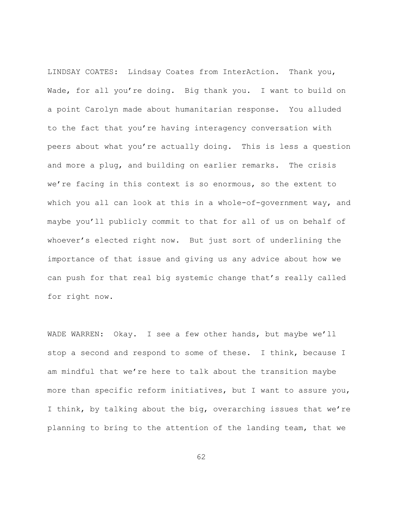LINDSAY COATES: Lindsay Coates from InterAction. Thank you, Wade, for all you're doing. Big thank you. I want to build on a point Carolyn made about humanitarian response. You alluded to the fact that you're having interagency conversation with peers about what you're actually doing. This is less a question and more a plug, and building on earlier remarks. The crisis we're facing in this context is so enormous, so the extent to which you all can look at this in a whole-of-government way, and maybe you'll publicly commit to that for all of us on behalf of whoever's elected right now. But just sort of underlining the importance of that issue and giving us any advice about how we can push for that real big systemic change that's really called for right now.

WADE WARREN: Okay. I see a few other hands, but maybe we'll stop a second and respond to some of these. I think, because I am mindful that we're here to talk about the transition maybe more than specific reform initiatives, but I want to assure you, I think, by talking about the big, overarching issues that we're planning to bring to the attention of the landing team, that we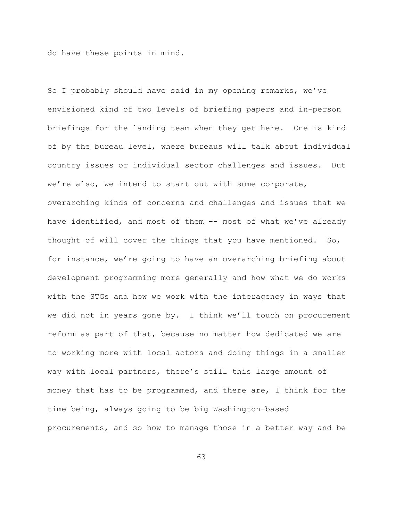do have these points in mind.

So I probably should have said in my opening remarks, we've envisioned kind of two levels of briefing papers and in-person briefings for the landing team when they get here. One is kind of by the bureau level, where bureaus will talk about individual country issues or individual sector challenges and issues. But we're also, we intend to start out with some corporate, overarching kinds of concerns and challenges and issues that we have identified, and most of them -- most of what we've already thought of will cover the things that you have mentioned. So, for instance, we're going to have an overarching briefing about development programming more generally and how what we do works with the STGs and how we work with the interagency in ways that we did not in years gone by. I think we'll touch on procurement reform as part of that, because no matter how dedicated we are to working more with local actors and doing things in a smaller way with local partners, there's still this large amount of money that has to be programmed, and there are, I think for the time being, always going to be big Washington-based procurements, and so how to manage those in a better way and be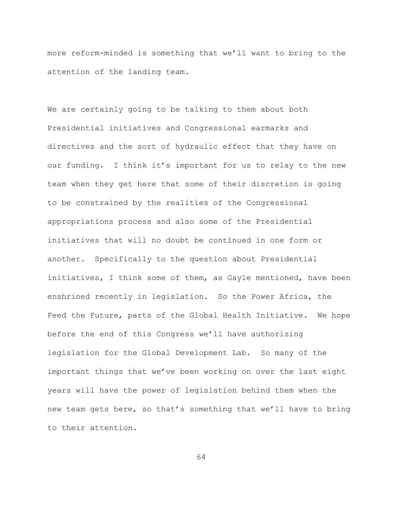more reform-minded is something that we'll want to bring to the attention of the landing team.

We are certainly going to be talking to them about both Presidential initiatives and Congressional earmarks and directives and the sort of hydraulic effect that they have on our funding. I think it's important for us to relay to the new team when they get here that some of their discretion is going to be constrained by the realities of the Congressional appropriations process and also some of the Presidential initiatives that will no doubt be continued in one form or another. Specifically to the question about Presidential initiatives, I think some of them, as Gayle mentioned, have been enshrined recently in legislation. So the Power Africa, the Feed the Future, parts of the Global Health Initiative. We hope before the end of this Congress we'll have authorizing legislation for the Global Development Lab. So many of the important things that we've been working on over the last eight years will have the power of legislation behind them when the new team gets here, so that's something that we'll have to bring to their attention.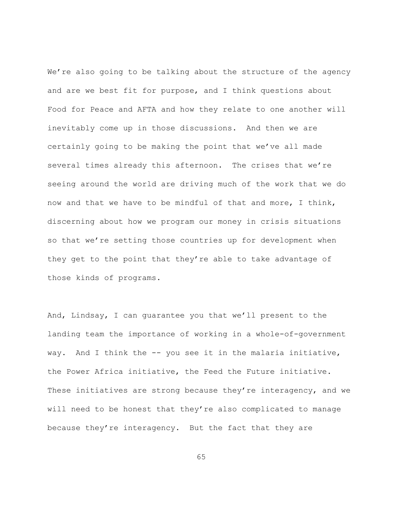We're also going to be talking about the structure of the agency and are we best fit for purpose, and I think questions about Food for Peace and AFTA and how they relate to one another will inevitably come up in those discussions. And then we are certainly going to be making the point that we've all made several times already this afternoon. The crises that we're seeing around the world are driving much of the work that we do now and that we have to be mindful of that and more, I think, discerning about how we program our money in crisis situations so that we're setting those countries up for development when they get to the point that they're able to take advantage of those kinds of programs.

And, Lindsay, I can guarantee you that we'll present to the landing team the importance of working in a whole-of-government way. And I think the -- you see it in the malaria initiative, the Power Africa initiative, the Feed the Future initiative. These initiatives are strong because they're interagency, and we will need to be honest that they're also complicated to manage because they're interagency. But the fact that they are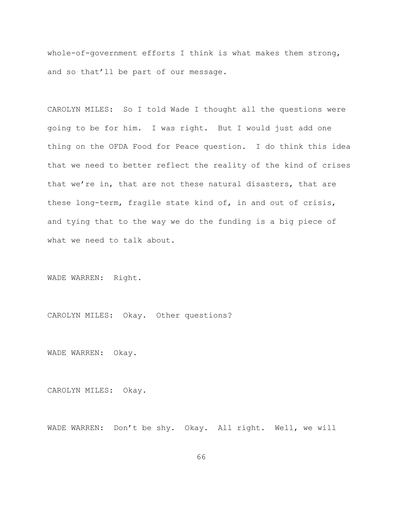whole-of-government efforts I think is what makes them strong, and so that'll be part of our message.

CAROLYN MILES: So I told Wade I thought all the questions were going to be for him. I was right. But I would just add one thing on the OFDA Food for Peace question. I do think this idea that we need to better reflect the reality of the kind of crises that we're in, that are not these natural disasters, that are these long-term, fragile state kind of, in and out of crisis, and tying that to the way we do the funding is a big piece of what we need to talk about.

WADE WARREN: Right.

CAROLYN MILES: Okay. Other questions?

WADE WARREN: Okay.

CAROLYN MILES: Okay.

WADE WARREN: Don't be shy. Okay. All right. Well, we will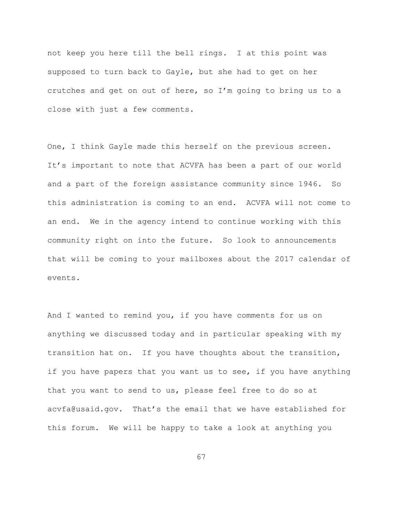not keep you here till the bell rings. I at this point was supposed to turn back to Gayle, but she had to get on her crutches and get on out of here, so I'm going to bring us to a close with just a few comments.

One, I think Gayle made this herself on the previous screen. It's important to note that ACVFA has been a part of our world and a part of the foreign assistance community since 1946. So this administration is coming to an end. ACVFA will not come to an end. We in the agency intend to continue working with this community right on into the future. So look to announcements that will be coming to your mailboxes about the 2017 calendar of events.

And I wanted to remind you, if you have comments for us on anything we discussed today and in particular speaking with my transition hat on. If you have thoughts about the transition, if you have papers that you want us to see, if you have anything that you want to send to us, please feel free to do so at acvfa@usaid.gov. That's the email that we have established for this forum. We will be happy to take a look at anything you